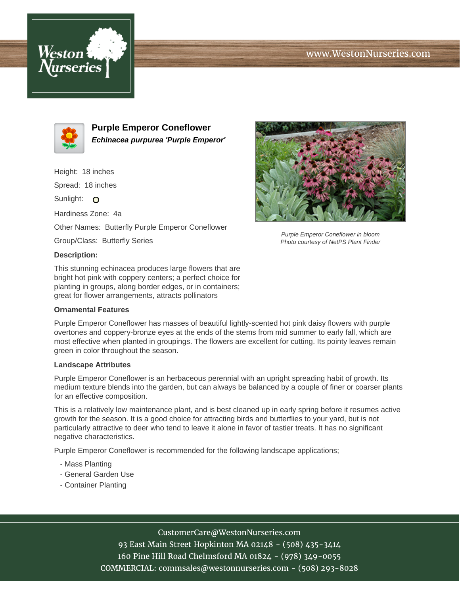## www.WestonNurseries.com





**Purple Emperor Coneflower Echinacea purpurea 'Purple Emperor'**

Height: 18 inches Spread: 18 inches Sunlight: O Hardiness Zone: 4a Other Names: Butterfly Purple Emperor Coneflower Group/Class: Butterfly Series **Description:**

This stunning echinacea produces large flowers that are bright hot pink with coppery centers; a perfect choice for planting in groups, along border edges, or in containers; great for flower arrangements, attracts pollinators

## **Ornamental Features**

Purple Emperor Coneflower has masses of beautiful lightly-scented hot pink daisy flowers with purple overtones and coppery-bronze eyes at the ends of the stems from mid summer to early fall, which are most effective when planted in groupings. The flowers are excellent for cutting. Its pointy leaves remain green in color throughout the season.

## **Landscape Attributes**

Purple Emperor Coneflower is an herbaceous perennial with an upright spreading habit of growth. Its medium texture blends into the garden, but can always be balanced by a couple of finer or coarser plants for an effective composition.

This is a relatively low maintenance plant, and is best cleaned up in early spring before it resumes active growth for the season. It is a good choice for attracting birds and butterflies to your yard, but is not particularly attractive to deer who tend to leave it alone in favor of tastier treats. It has no significant negative characteristics.

Purple Emperor Coneflower is recommended for the following landscape applications;

- Mass Planting
- General Garden Use
- Container Planting



93 East Main Street Hopkinton MA 02148 - (508) 435-3414 160 Pine Hill Road Chelmsford MA 01824 - (978) 349-0055 COMMERCIAL: commsales@westonnurseries.com - (508) 293-8028



Purple Emperor Coneflower in bloom Photo courtesy of NetPS Plant Finder